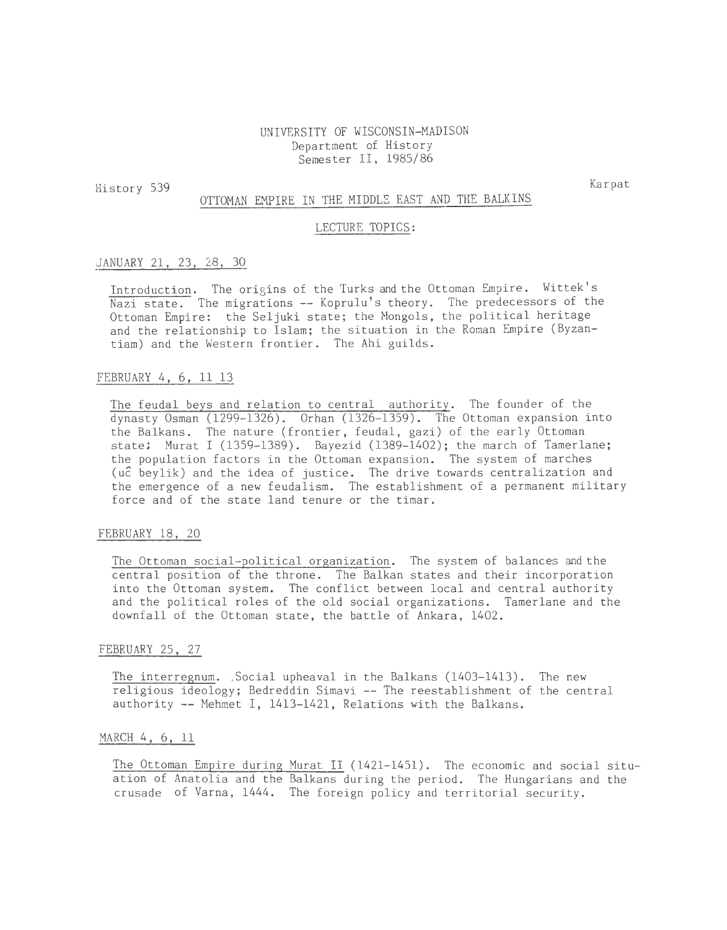UNIVERSITY OF WISCONSIN-MADISON Department of History Semester II, 1985/86

History 539

Karpat

# OTTOMAN EMPIRE IN THE MIDDLE EAST AND THE BALKINS

## LECTURE TOPICS:

#### JANUARY 21, 23, 28, 30

Introduction. The origins of the Turks and the Ottoman Empire. Wittek's Nazi state. The migrations -- Koprulu's theory. The predecessors of the Ottoman Empire: the Seljuki state; the Mongols, the political heritage and the relationship to Islam; the situation in the Roman Empire (Byzantiam) and the Western frontier. The Ahi guilds.

## FEBRUARY 4, 6, 11 13

The feudal beys and relation to central authority. The founder of the dynasty Osman (1299-1326). Orhan (1326-1359). The Ottoman expansion into the Balkans. The nature (frontier, feudal, gazi) of the early Ottoman state; Murat I (1359-1389). Bayezid (1389-1402); the march of Tamerlane; the population factors in the Ottoman expansion. The system of marches (u2 beylik) and the idea of justice. The drive towards centralization and the emergence of a new feudalism. The establishment of a permanent military force and of the state land tenure or the timar.

### FEBRUARY 18, 20

The Ottoman social-political organization. The system of balances and the central position of the throne. The Balkan states and their incorporation into the Ottoman system. The conflict between local and central authority and the political roles of the old social organizations. Tamerlane and the downfall of the Ottoman state, the battle of Ankara, 1402.

## FEBRUARY 25, 27

The interregnum. Social upheaval in the Balkans (1403-1413). The new religious ideology; Bedreddin Simavi -- The reestablishment of the central authority -- Mehmet I, 1413-1421, Relations with the Balkans.

#### MARCH 4, 6, ll

The Ottoman Empire during Murat II (1421-1451). The economic and social situation of Anatolia and the Balkans during the period. The Hungarians and the crusade of Varna, 1444. The foreign policy and territorial security.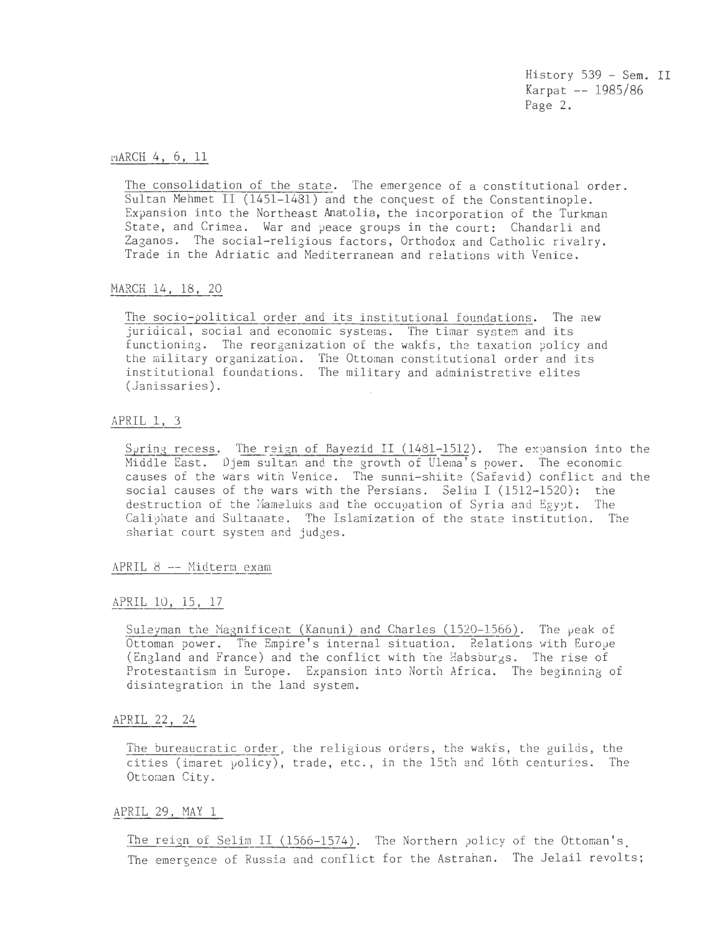History 539 - Sem. II Karpat -- 1985/86 Page 2.

r·1ARCH 4, 6, 11

The consolidation of the state. The emergence of a constitutional order. Sultan Mehmet II  $(1451-1481)$  and the conquest of the Constantinople. Expansion into the Northeast Anatolia, the incorporation of the Turkman State, and Crimea. War and peace groups in the court: Chandarli and Zaganos. The social-religious factors, Orthodox and Catholic rivalry. Trade in the Adriatic and Mediterranean and relations with Venice.

MARCH 14, 18, 20

The socio-political order and its institutional foundations. The new juridical, social and economic systems. The timar system and its functioning. The reorganization of the wakfs, the taxation policy and the military organization. The Ottoman constitutional order and its institutional foundations. The military and administrative elites (Janissaries).

APRIL 1, 3

Spring recess. The reign of Bayezid II (1481-1512). The expansion into the Middle East. Djem sultan and the growth of Ulema's power. The economic causes of the wars with Venice. The sunni-shiite (Safavid) conflict and the social causes of the wars with the Persians. Selim I (1512-1520): the destruction of the Mameluks and the occupation of Syria and Egypt. The Caliphate and Sultanate. The Islamization of the state institution. The shariat court system and judges.

APRIL 8 -- Midterm exam

# APRIL 10, 15, 17

Suleyman the Magnificent (Kanuni) and Charles (1520-1566). The peak of Ottoman power. The Empire's internal situation. Relations with Europe (England and France) and the conflict with tne Babsburgs. The rise of Protestantism in Europe. Expansion into North Africa. The beginning of disintegration in the land system.

# APRIL 22, 24

The bureaucratic order, the religious orders, the wakfs, the guilds, the cities (imaret policy), trade, etc., in the 15th and 16th centuries. The Ottoman City.

## APRIL 29, MAY 1

The reign of Selim II (1566-1574). The Northern policy of the Ottoman's The emergence of Russia and conflict for the Astrahan. The Jelail revolts;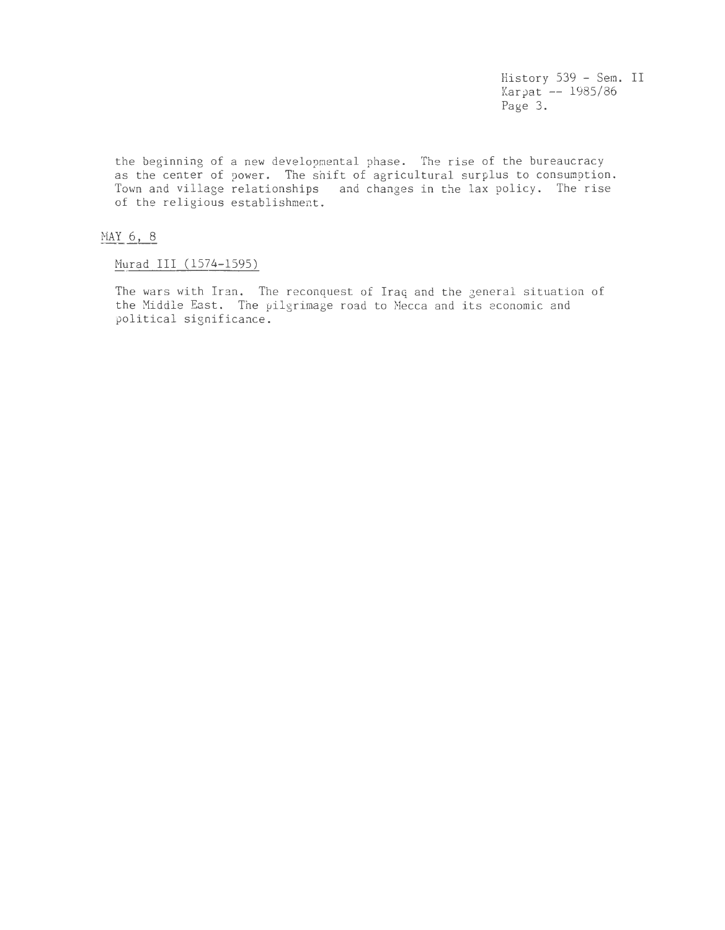History 539 - Sem. II Karpat -- 1985/86 Page 3.

the beginning of a new developmental phase. The rise of the bureaucracy as the center of power. The shift of agricultural surplus to consumption. Town and village relationships and changes in the lax policy. The rise of the religious establishment.

# MAY 6, 8

Murad III (1574-1595)

The wars with Iran. The reconquest of Iraq and the general situation of the Middle East. The pilgrimage road to Mecca and its economic and political significance.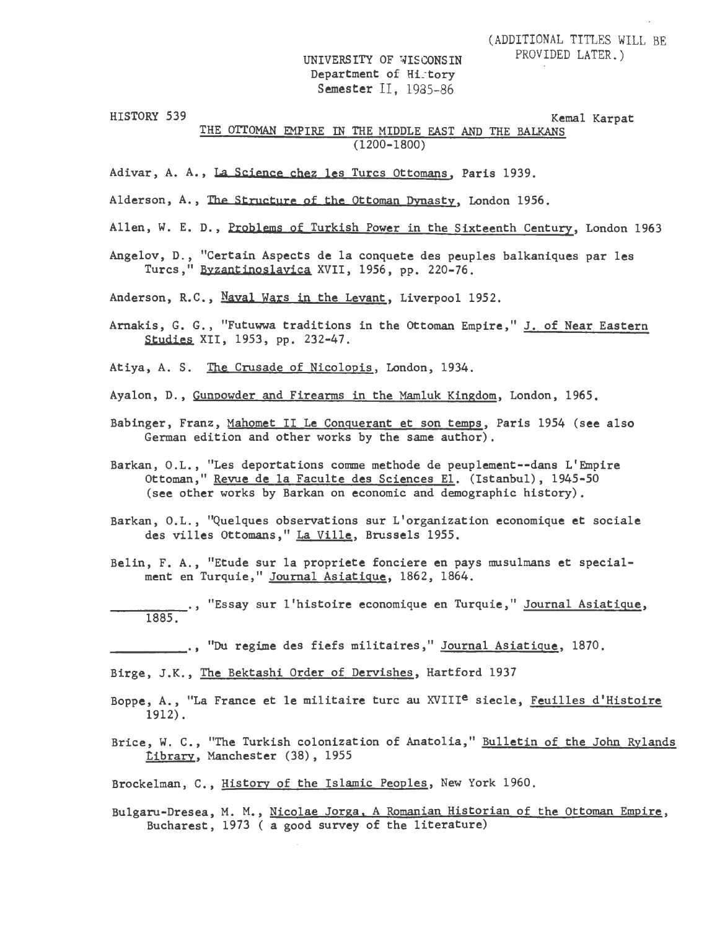UNIVERSITY OF WISCONSIN Department of History Semester II, 1935-86

HISTORY 539 Kemal Karpat

THE OTTOMAN EMPIRE IN THE MIDDLE EAST AND THE BALKANS (1200-1800)

- Adivar, A. A., La Science chez les Turcs Ottomans, Paris 1939.
- Alderson, A., The Structure of the Ottoman Dvnasty, London 1956.
- Allen, W. E. D., Problems of Turkish Power in the Sixteenth Century, London 1963
- Angelov, D., "Certain Aspects de la conquete des peuples balkaniques par les Turcs," Byzantinoslayica XVII, 1956, pp. 220-76.

Anderson, R.C., Naval Wars in the Levant, Liverpool 1952.

- Arnakis, G. G., "Futuwwa traditions in the Ottoman Empire," J. of Near Eastern Studies XII, 1953, pp. 232-47.
- Atiya, A. S. The Crusade of Nicolopis, London, 1934.
- Ayalon, D., Gunpowder and Firearms in the Mamluk Kingdom, London, 1965.
- Babinger, Franz, Mahomet II Le Conguerant et son temps, Paris 1954 (see also German edition and other works by the same author).
- Barkan, O.L., "Les deportations comme methode de peuplement--dans L'Empire Ottoman," Revue de la Faculte des Sciences El. (Istanbul), 1945-50 (see other works by Barkan on economic and demographic history).
- Barkan, O.L., "Quelques observations sur L'organization economique et sociale des villes Ottomans," La Ville, Brussels 1955.
- Belin, F. A., "Etude sur la propriete fonciere en pays musulmans et specialment en Turquie," Journal Asiatigue, 1862, 1864.
- --~-=-=-=--·, "Essay sur 1 'histoire economique en Turquie," Journal Asiatique, 1885.

.., "Du regime des fiefs militaires," Journal Asiatique, 1870.

Birge, J.K., The Bektashi Order of Dervishes, Hartford 1937

- Boppe, A., "La France et le militaire turc au XVIII<sup>e</sup> siecle, Feuilles d'Histoire 1912).
- Brice, W. C., "The Turkish colonization of Anatolia," Bulletin of the John Rylands tibrary, Manchester (38), 1955
- Brockelman, c., History of the Islamic Peoples, New York 1960.
- Bulgaru-Dresea, M. M., Nicolae Jorga. A Romanian Historian of the Ottoman Empire, Bucharest, 1973 ( a good survey of the literature)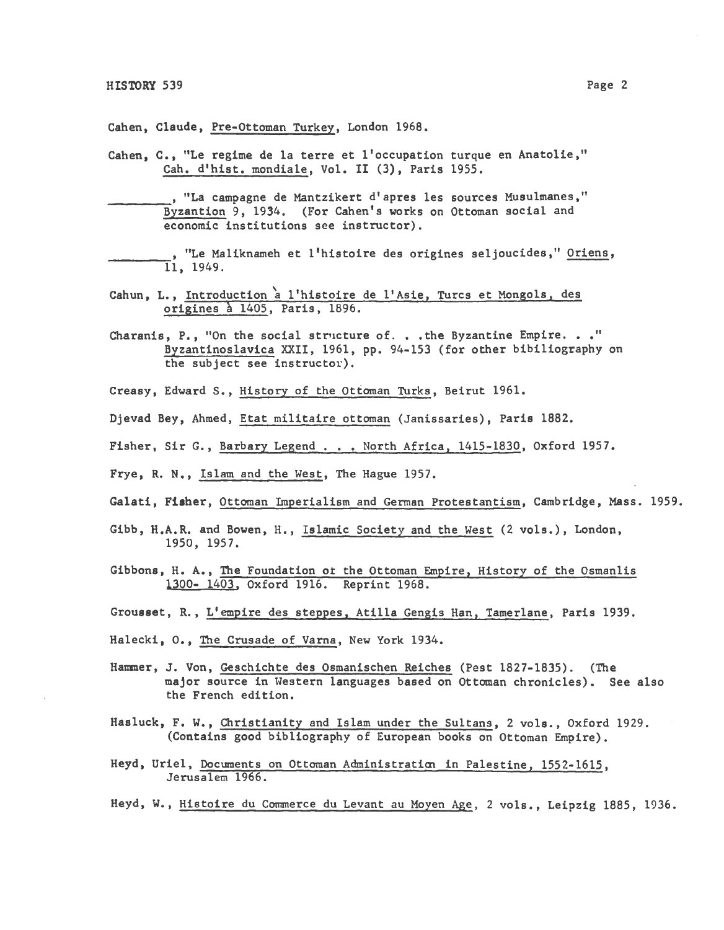Cahen, Claude, Pre-Ottoman Turkey, London 1968.

Cahen, C., "Le regime de la terre et !'occupation turque en Anatolie," Cah. d'hist. mondiale, Vol. II (3), Paris 1955.

, "La campagne de Mantzikert d'apres les sources Musulmanes,"<br>Byzantion 9, 1934. (For Cahen's works on Ottoman social and economic institutions see instructor).

, "Le Maliknameh et l'histoire des origines seljoucides," Oriens, 11, 1949.

- Cahun, L., Introduction a l'histoire de l'Asie, Turcs et Mongols, des origines à 1405, Paris, 1896.
- Charanis, P., "On the social structure of. . . the Byzantine Empire. . . " Byzantinoslavica XXII, 1961, pp. 94-153 (for other bibiliography on the subject see instructor).
- Creasy, Edward S., History of the Ottoman Turks, Beirut 1961.

Djevad Bey, Ahmed, Etat militaire ottoman (Janissaries), Paris 1882.

- Fisher, Sir G., Barbary Legend . . . North Africa, 1415-1830, Oxford 1957.
- Frye, R. N., Islam and the West, The Hague 1957.

Galati, Fisher, Ottoman Imperialism and German Protestantism, Cambridge, Mass. 1959.

- Gibb, H.A.R. and Bowen, H., Islamic Society and the West (2 vols.), London, 1950, 1957.
- Gibbons, H. A., The Foundation ot the Ottoman Empire, History of the Osmanlis 1300- 1403, Oxford 1916. Reprint 1968.
- Grousset, R., L'empire des steppes, Atilla Gengis Han, Tamerlane, Paris 1939.

Halecki, 0., The Crusade of Varna, New York 1934.

- Hammer, J. Von, Geschichte des Osmanischen Reiches (Pest 1827-1835). (The major source in Western languages based on Ottoman chronicles). See also the French edition.
- Hasluck, F. W., Christianity and Islam under the Sultans, 2 vols., Oxford 1929. (Contains good bibliography of European books on Ottoman Empire).
- Heyd, Uriel, Documents on Ottoman Administration in Palestine, 1552-1615, Jerusalem 1966.

Heyd, W., Histoire du Commerce du Levant au Moyen Age, 2 vols., Leipzig 1885, 1936.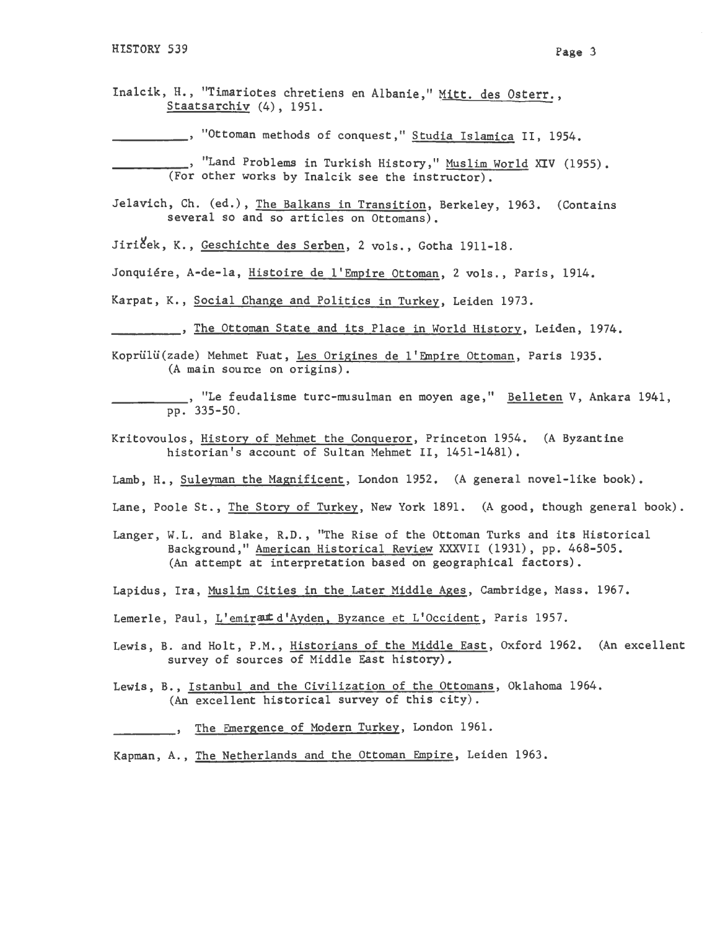Inalcik, H., "Timariotes chretiens en Albanie," Mitt. des Osterr., Staatsarchiv (4), 1951.

------' "Ottoman methods of conquest," Studia Islamica II, 1954.

<sub>--</sub>, "Land Problems in Turkish History," Muslim World XIV (1955). (For other works by Inalcik see the instructor).

- Jelavich, Ch. (ed.), The Balkans in Transition, Berkeley, 1963. (Contains several so and so articles on Ottomans).
- Jiriček, K., Geschichte des Serben, 2 vols., Gotha 1911-18.

Jonquiére, A-de-la, Histoire de l'Empire Ottoman, 2 vols., Paris, 1914.

Karpat, K., Social Change and Politics in Turkey, Leiden 1973.

The Ottoman State and its Place in World History, Leiden, 1974.

Koprülü(zade) Mehmet Fuat, Les Origines de l'Empire Ottoman, Paris 1935. (A main source on origins).

. "Le feudalisme turc-musulman en moyen age," Belleten V, Ankara 1941, pp. 335-50.

- Kritovoulos, History of Mehmet the Conqueror, Princeton 1954. (A Byzantine historian's account of Sultan Mehmet II, 1451-1481).
- Lamb, H., Suleyman the Magnificent, London 1952. (A general novel-like book).
- Lane, Poole St., The Story of Turkey, New York 1891. (A good, though general book).
- Langer, W.L. and Blake, R.D., "The Rise of the Ottoman Turks and its Historical Background," American Historical Review XXXVII (1931), pp. 468-505. (An attempt at interpretation based on geographical factors).
- Lapidus, Ira, Muslim Cities in the Later Middle Ages, Cambridge, Mass. 1967.
- Lemerle, Paul, L'emirant d'Ayden, Byzance et L'Occident, Paris 1957.
- Lewis, B. and Holt, P.M., Historians of the Middle East, Oxford 1962. (An excellent survey of sources of Middle East history),

Lewis, B., Istanbul and the Civilization of the Ottomans, Oklahoma 1964. (An excellent historical survey of this city).

The Emergence of Modern Turkey, London 1961.

Kapman, A., The Netherlands and the Ottoman Empire, Leiden 1963.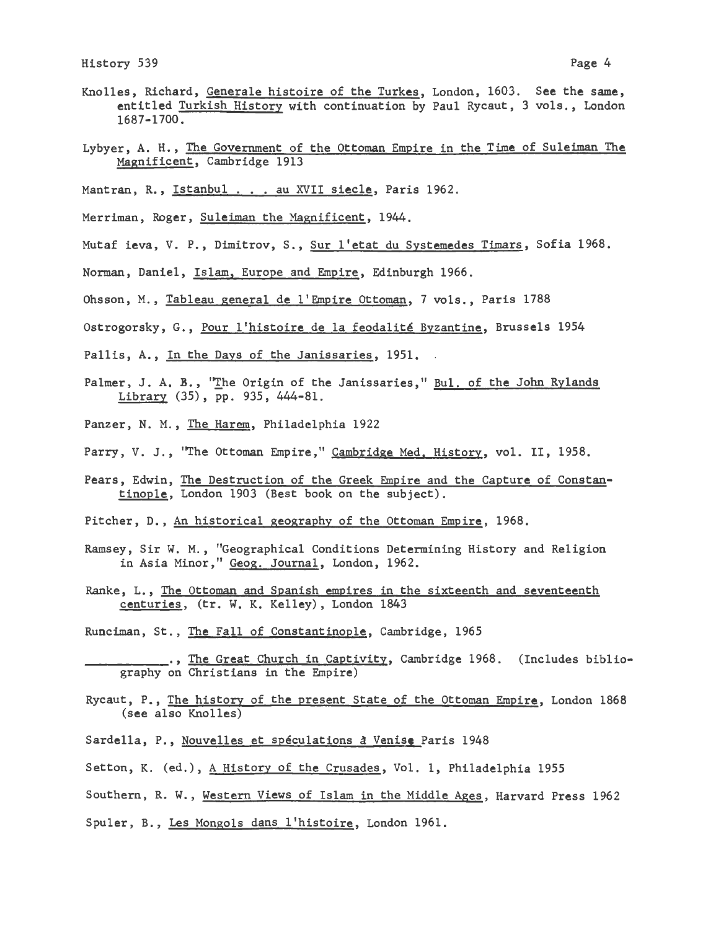- Knolles, Richard, Generale histoire of the Turkes, London, 1603. See the same, entitled Turkish History with continuation by Paul Rycaut, 3 vols., London 1687-1700.
- Lybyer, A. H., The Government of the Ottoman Empire in the Time of Suleiman The Magnificent, Cambridge 1913
- Mantran, R., Istanbul . . . au XVII siecle, Paris 1962.
- Merriman, Roger, Suleiman the Magnificent, 1944.
- Mutaf ieva, V. P., Dtmitrov, s., Sur l'etat du Systemedes Timars, Sofia 1968.
- Norman, Daniel, Islam, Europe and Empire, Edinburgh 1966.
- Ohsson, M., Tableau general de l'Empire Ottoman, 7 vols., Paris 1788
- Ostrogorsky, G., Pour l'histoire de la feodalité Byzantine, Brussels 1954
- Pallis, A., In the Days of the Janissaries, 1951.
- Palmer, J. A. B., "The Origin of the Janissaries," Bul. of the John Rylands Library (35), pp. 935, 444-81.
- Panzer, N. M., The Harem, Philadelphia 1922
- Parry, V. J., 'The Ottoman Empire," Cambridge Med. History, vol. II, 1958.
- Pears, Edwin, The Destruction of the Greek Empire and the Capture of Constantinople, London 1903 (Best book on the subject).
- Pitcher, D., An historical geography of the Ottoman Empire, 1968.
- Ramsey, Sir W. M., "Geographical Conditions Determining History and Religion in Asia Minor," Geog. Journal, London, 1962.
- Ranke, L., The Ottoman and Spanish empires in the sixteenth and seventeenth centuries, (tr. W. K. Kelley), London 1843
- Runciman, St., The Fall of Constantinople, Cambridge, 1965
	- ., The Great Church in Captivity, Cambridge 1968. (Includes bibliography on Christians in the Empire)
- Rycaut, P., The history of the present State of the Ottoman Empire, London 1868 (see also Knolles)
- Sardella, P., Nouvelles et spéculations à Venise Paris 1948
- Setton, K. (ed.), A History of the Crusades, Vol. 1, Philadelphia 1955
- Southern, R. W., Western Views of Islam in the Middle Ages, Harvard Press 1962
- Spuler, B., Les Mongols dans l'histoire, London 1961.